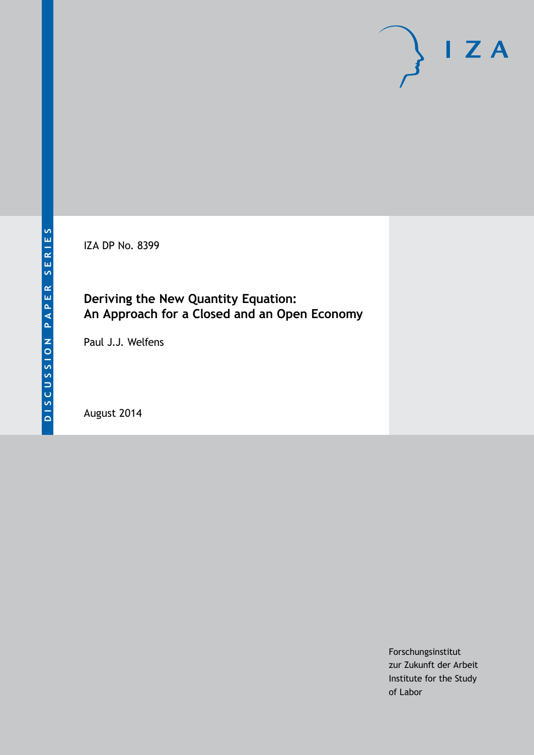IZA DP No. 8399

## **Deriving the New Quantity Equation: An Approach for a Closed and an Open Economy**

Paul J.J. Welfens

August 2014

Forschungsinstitut zur Zukunft der Arbeit Institute for the Study of Labor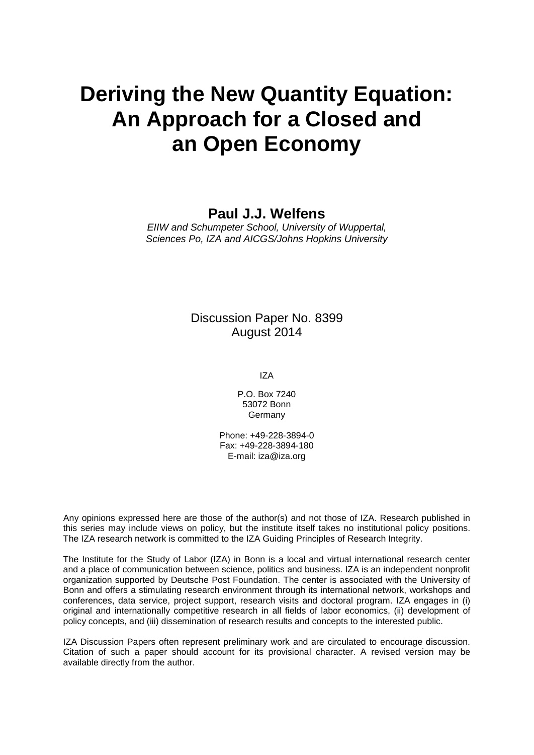# **Deriving the New Quantity Equation: An Approach for a Closed and an Open Economy**

### **Paul J.J. Welfens**

*EIIW and Schumpeter School, University of Wuppertal, Sciences Po, IZA and AICGS/Johns Hopkins University*

### Discussion Paper No. 8399 August 2014

IZA

P.O. Box 7240 53072 Bonn Germany

Phone: +49-228-3894-0 Fax: +49-228-3894-180 E-mail: [iza@iza.org](mailto:iza@iza.org)

Any opinions expressed here are those of the author(s) and not those of IZA. Research published in this series may include views on policy, but the institute itself takes no institutional policy positions. The IZA research network is committed to the IZA Guiding Principles of Research Integrity.

The Institute for the Study of Labor (IZA) in Bonn is a local and virtual international research center and a place of communication between science, politics and business. IZA is an independent nonprofit organization supported by Deutsche Post Foundation. The center is associated with the University of Bonn and offers a stimulating research environment through its international network, workshops and conferences, data service, project support, research visits and doctoral program. IZA engages in (i) original and internationally competitive research in all fields of labor economics, (ii) development of policy concepts, and (iii) dissemination of research results and concepts to the interested public.

<span id="page-1-0"></span>IZA Discussion Papers often represent preliminary work and are circulated to encourage discussion. Citation of such a paper should account for its provisional character. A revised version may be available directly from the author.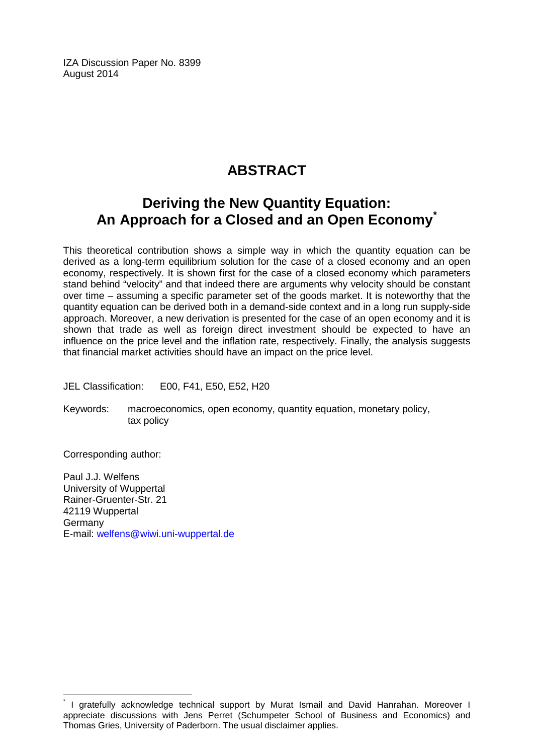IZA Discussion Paper No. 8399 August 2014

# **ABSTRACT**

# **Deriving the New Quantity Equation: An Approach for a Closed and an Open Economy[\\*](#page-1-0)**

This theoretical contribution shows a simple way in which the quantity equation can be derived as a long-term equilibrium solution for the case of a closed economy and an open economy, respectively. It is shown first for the case of a closed economy which parameters stand behind "velocity" and that indeed there are arguments why velocity should be constant over time – assuming a specific parameter set of the goods market. It is noteworthy that the quantity equation can be derived both in a demand-side context and in a long run supply-side approach. Moreover, a new derivation is presented for the case of an open economy and it is shown that trade as well as foreign direct investment should be expected to have an influence on the price level and the inflation rate, respectively. Finally, the analysis suggests that financial market activities should have an impact on the price level.

JEL Classification: E00, F41, E50, E52, H20

Keywords: macroeconomics, open economy, quantity equation, monetary policy, tax policy

Corresponding author:

Paul J.J. Welfens University of Wuppertal Rainer-Gruenter-Str. 21 42119 Wuppertal Germany E-mail: [welfens@wiwi.uni-wuppertal.de](mailto:welfens@wiwi.uni-wuppertal.de)

I gratefully acknowledge technical support by Murat Ismail and David Hanrahan. Moreover I appreciate discussions with Jens Perret (Schumpeter School of Business and Economics) and Thomas Gries, University of Paderborn. The usual disclaimer applies.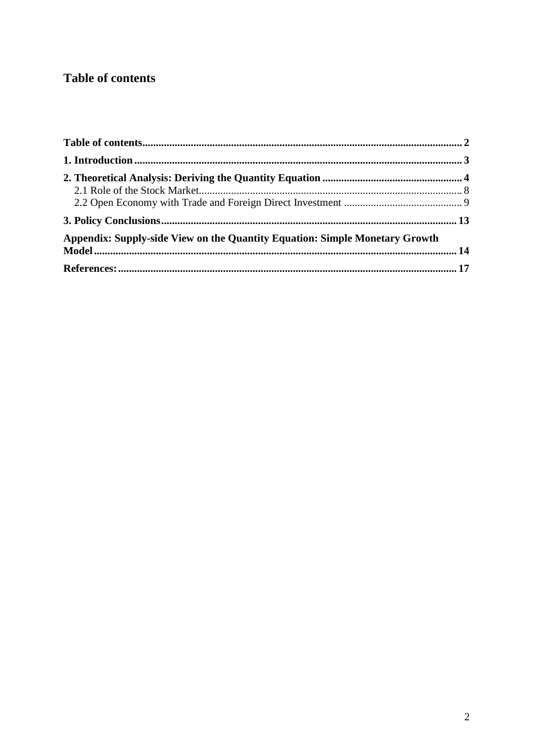# **Table of contents**

| Appendix: Supply-side View on the Quantity Equation: Simple Monetary Growth |  |
|-----------------------------------------------------------------------------|--|
|                                                                             |  |
|                                                                             |  |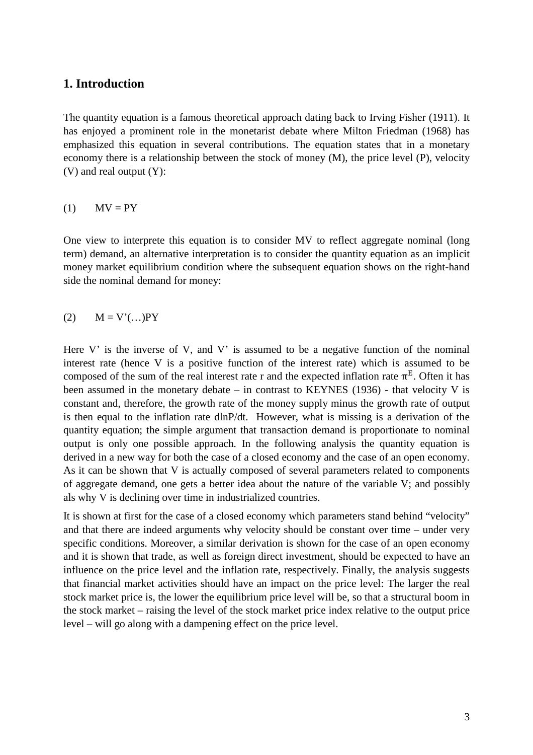#### **1. Introduction**

The quantity equation is a famous theoretical approach dating back to Irving Fisher (1911). It has enjoyed a prominent role in the monetarist debate where Milton Friedman (1968) has emphasized this equation in several contributions. The equation states that in a monetary economy there is a relationship between the stock of money (M), the price level (P), velocity (V) and real output (Y):

 $(1)$   $MV = PY$ 

One view to interprete this equation is to consider MV to reflect aggregate nominal (long term) demand, an alternative interpretation is to consider the quantity equation as an implicit money market equilibrium condition where the subsequent equation shows on the right-hand side the nominal demand for money:

#### (2)  $M = V'(...)PY$

Here V' is the inverse of V, and V' is assumed to be a negative function of the nominal interest rate (hence V is a positive function of the interest rate) which is assumed to be composed of the sum of the real interest rate r and the expected inflation rate  $π<sup>E</sup>$ . Often it has been assumed in the monetary debate – in contrast to KEYNES (1936) - that velocity V is constant and, therefore, the growth rate of the money supply minus the growth rate of output is then equal to the inflation rate dlnP/dt. However, what is missing is a derivation of the quantity equation; the simple argument that transaction demand is proportionate to nominal output is only one possible approach. In the following analysis the quantity equation is derived in a new way for both the case of a closed economy and the case of an open economy. As it can be shown that V is actually composed of several parameters related to components of aggregate demand, one gets a better idea about the nature of the variable V; and possibly als why V is declining over time in industrialized countries.

It is shown at first for the case of a closed economy which parameters stand behind "velocity" and that there are indeed arguments why velocity should be constant over time – under very specific conditions. Moreover, a similar derivation is shown for the case of an open economy and it is shown that trade, as well as foreign direct investment, should be expected to have an influence on the price level and the inflation rate, respectively. Finally, the analysis suggests that financial market activities should have an impact on the price level: The larger the real stock market price is, the lower the equilibrium price level will be, so that a structural boom in the stock market – raising the level of the stock market price index relative to the output price level – will go along with a dampening effect on the price level.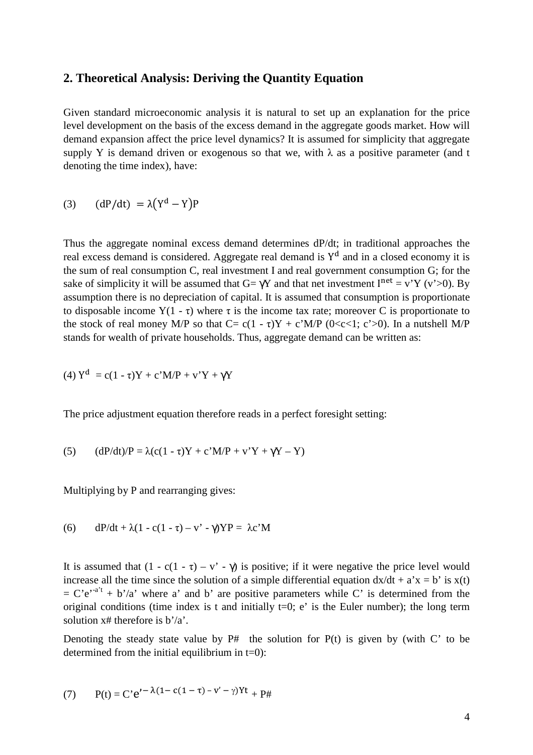#### **2. Theoretical Analysis: Deriving the Quantity Equation**

Given standard microeconomic analysis it is natural to set up an explanation for the price level development on the basis of the excess demand in the aggregate goods market. How will demand expansion affect the price level dynamics? It is assumed for simplicity that aggregate supply Y is demand driven or exogenous so that we, with  $\lambda$  as a positive parameter (and t denoting the time index), have:

$$
(3) \qquad (dP/dt) = \lambda (Y^d - Y)P
$$

Thus the aggregate nominal excess demand determines dP/dt; in traditional approaches the real excess demand is considered. Aggregate real demand is  $Y<sup>d</sup>$  and in a closed economy it is the sum of real consumption C, real investment I and real government consumption G; for the sake of simplicity it will be assumed that  $G = \gamma Y$  and that net investment  $I^{net} = v'Y(v' > 0)$ . By assumption there is no depreciation of capital. It is assumed that consumption is proportionate to disposable income  $Y(1 - \tau)$  where  $\tau$  is the income tax rate; moreover C is proportionate to the stock of real money M/P so that  $C = c(1 - \tau)Y + c'M/P$  ( $0 < c < 1$ ; c' $> 0$ ). In a nutshell M/P stands for wealth of private households. Thus, aggregate demand can be written as:

(4) 
$$
Y^d = c(1 - \tau)Y + c'M/P + v'Y + \gamma Y
$$

The price adjustment equation therefore reads in a perfect foresight setting:

(5) 
$$
(dP/dt)/P = \lambda (c(1 - \tau)Y + c^*M/P + v^*Y + \gamma Y - Y)
$$

Multiplying by P and rearranging gives:

(6) 
$$
dP/dt + \lambda(1 - c(1 - \tau) - v' - \gamma)YP = \lambda c'M
$$

It is assumed that  $(1 - c(1 - \tau) - v' - \gamma)$  is positive; if it were negative the price level would increase all the time since the solution of a simple differential equation  $dx/dt + a'x = b'$  is  $x(t)$  $= C' e^{A't} + b'/a'$  where a' and b' are positive parameters while C' is determined from the original conditions (time index is t and initially  $t=0$ ; e' is the Euler number); the long term solution  $x#$  therefore is  $b'/a'$ .

Denoting the steady state value by  $P#$  the solution for  $P(t)$  is given by (with C' to be determined from the initial equilibrium in  $t=0$ :

(7) 
$$
P(t) = C' e^{-\lambda(1 - c(1 - \tau) - v' - \gamma)Yt} + P\#
$$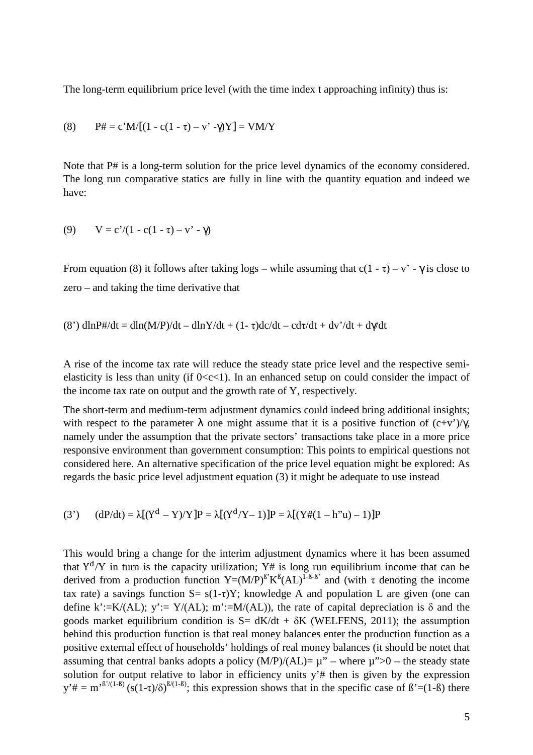The long-term equilibrium price level (with the time index t approaching infinity) thus is:

(8) 
$$
P# = c^*M/[(1 - c(1 - \tau) - v^* - \gamma)Y] = VM/Y
$$

Note that P# is a long-term solution for the price level dynamics of the economy considered. The long run comparative statics are fully in line with the quantity equation and indeed we have:

(9) 
$$
V = c'/(1 - c(1 - \tau) - v' - \gamma)
$$

From equation (8) it follows after taking logs – while assuming that  $c(1 - \tau) - v' - \gamma$  is close to zero – and taking the time derivative that

(8') dlnP#/dt = dln(M/P)/dt – dlnY/dt + (1-  $\tau$ )dc/dt – cd $\tau$ /dt + dv'/dt + d $\gamma$ /dt

A rise of the income tax rate will reduce the steady state price level and the respective semielasticity is less than unity (if  $0 < c < 1$ ). In an enhanced setup on could consider the impact of the income tax rate on output and the growth rate of Y, respectively.

The short-term and medium-term adjustment dynamics could indeed bring additional insights; with respect to the parameter  $\lambda$  one might assume that it is a positive function of (c+v')/ $\gamma$ , namely under the assumption that the private sectors' transactions take place in a more price responsive environment than government consumption: This points to empirical questions not considered here. An alternative specification of the price level equation might be explored: As regards the basic price level adjustment equation (3) it might be adequate to use instead

(3')  $(dP/dt) = \lambda [(Y^d - Y)/Y]P = \lambda [(Y^d/Y - 1)]P = \lambda [(Y \# (1 - h''u) - 1)]P$ 

This would bring a change for the interim adjustment dynamics where it has been assumed that  $Y^d/Y$  in turn is the capacity utilization;  $Y^{\#}$  is long run equilibrium income that can be derived from a production function  $Y=(M/P)^{B'}K^{B}(AL)^{1-B-B'}$  and (with  $\tau$  denoting the income tax rate) a savings function  $S = s(1-\tau)Y$ ; knowledge A and population L are given (one can define k':=K/(AL); y':= Y/(AL); m':=M/(AL)), the rate of capital depreciation is  $\delta$  and the goods market equilibrium condition is  $S = dK/dt + \delta K$  (WELFENS, 2011); the assumption behind this production function is that real money balances enter the production function as a positive external effect of households' holdings of real money balances (it should be notet that assuming that central banks adopts a policy  $(M/P)/(AL) = \mu$ " – where  $\mu$ ">0 – the steady state solution for output relative to labor in efficiency units  $y^*$  then is given by the expression  $y'$  = m<sup>,  $B'/(1-B)$ </sup> (s(1- $\tau$ )/ $\delta$ )<sup> $B/(1-B)$ </sup>; this expression shows that in the specific case of  $B'=(1-B)$  there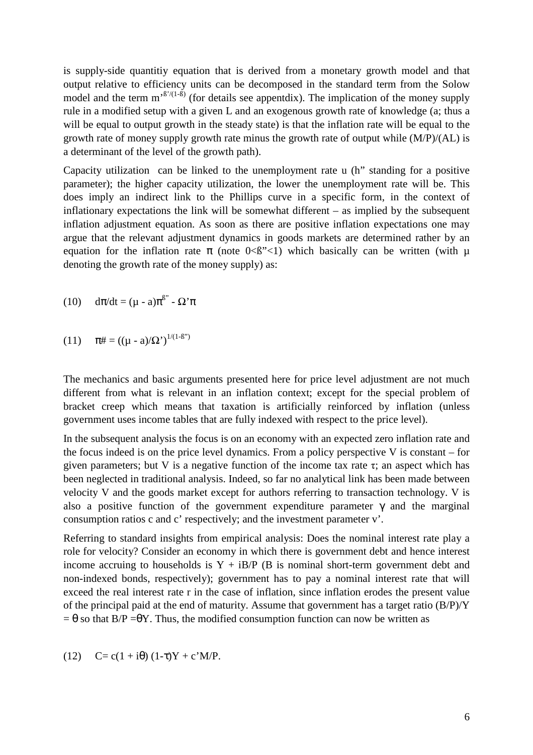is supply-side quantitiy equation that is derived from a monetary growth model and that output relative to efficiency units can be decomposed in the standard term from the Solow model and the term  $m^{B/(1-\tilde{B})}$  (for details see appentdix). The implication of the money supply rule in a modified setup with a given L and an exogenous growth rate of knowledge (a; thus a will be equal to output growth in the steady state) is that the inflation rate will be equal to the growth rate of money supply growth rate minus the growth rate of output while (M/P)/(AL) is a determinant of the level of the growth path).

Capacity utilization can be linked to the unemployment rate u (h" standing for a positive parameter); the higher capacity utilization, the lower the unemployment rate will be. This does imply an indirect link to the Phillips curve in a specific form, in the context of inflationary expectations the link will be somewhat different – as implied by the subsequent inflation adjustment equation. As soon as there are positive inflation expectations one may argue that the relevant adjustment dynamics in goods markets are determined rather by an equation for the inflation rate  $\pi$  (note 0<B"<1) which basically can be written (with  $\mu$ denoting the growth rate of the money supply) as:

(10) 
$$
d\pi/dt = (\mu - a)\pi^{\beta} - \Omega^{\gamma}\pi
$$

(11) 
$$
\pi \# = ((\mu - a)/\Omega^*)^{1/(1-\beta^*)}
$$

The mechanics and basic arguments presented here for price level adjustment are not much different from what is relevant in an inflation context; except for the special problem of bracket creep which means that taxation is artificially reinforced by inflation (unless government uses income tables that are fully indexed with respect to the price level).

In the subsequent analysis the focus is on an economy with an expected zero inflation rate and the focus indeed is on the price level dynamics. From a policy perspective V is constant – for given parameters; but V is a negative function of the income tax rate  $\tau$ ; an aspect which has been neglected in traditional analysis. Indeed, so far no analytical link has been made between velocity V and the goods market except for authors referring to transaction technology. V is also a positive function of the government expenditure parameter  $\gamma$  and the marginal consumption ratios c and c' respectively; and the investment parameter v'.

Referring to standard insights from empirical analysis: Does the nominal interest rate play a role for velocity? Consider an economy in which there is government debt and hence interest income accruing to households is  $Y + iB/P$  (B is nominal short-term government debt and non-indexed bonds, respectively); government has to pay a nominal interest rate that will exceed the real interest rate r in the case of inflation, since inflation erodes the present value of the principal paid at the end of maturity. Assume that government has a target ratio (B/P)/Y  $= \theta$  so that B/P = $\theta$ Y. Thus, the modified consumption function can now be written as

(12) 
$$
C = c(1 + i\theta) (1-\tau)Y + c^*M/P.
$$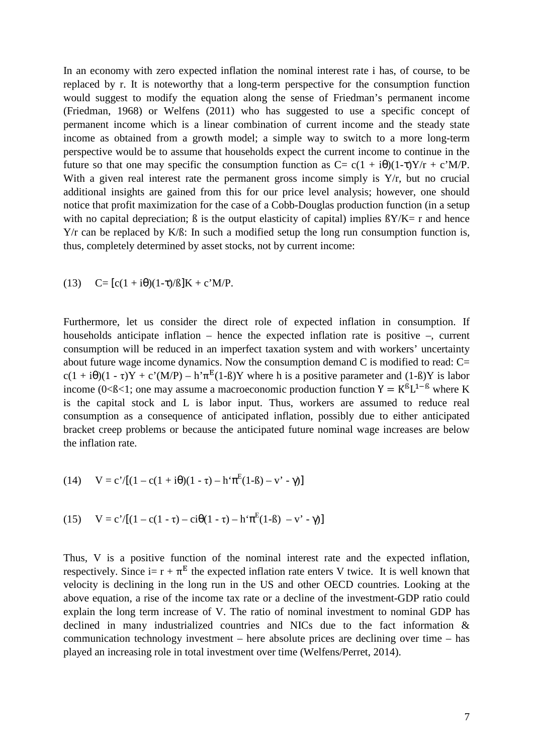In an economy with zero expected inflation the nominal interest rate i has, of course, to be replaced by r. It is noteworthy that a long-term perspective for the consumption function would suggest to modify the equation along the sense of Friedman's permanent income (Friedman, 1968) or Welfens (2011) who has suggested to use a specific concept of permanent income which is a linear combination of current income and the steady state income as obtained from a growth model; a simple way to switch to a more long-term perspective would be to assume that households expect the current income to continue in the future so that one may specific the consumption function as  $C = c(1 + i\theta)(1-\tau)Y/\tau + c'M/P$ . With a given real interest rate the permanent gross income simply is Y/r, but no crucial additional insights are gained from this for our price level analysis; however, one should notice that profit maximization for the case of a Cobb-Douglas production function (in a setup with no capital depreciation;  $\beta$  is the output elasticity of capital) implies  $\beta Y/K = r$  and hence Y/r can be replaced by K/ $\beta$ : In such a modified setup the long run consumption function is, thus, completely determined by asset stocks, not by current income:

(13) 
$$
C = [c(1 + i\theta)(1-\tau)/\beta]K + c^*M/P.
$$

Furthermore, let us consider the direct role of expected inflation in consumption. If households anticipate inflation – hence the expected inflation rate is positive –, current consumption will be reduced in an imperfect taxation system and with workers' uncertainty about future wage income dynamics. Now the consumption demand  $C$  is modified to read:  $C=$  $c(1 + i\theta)(1 - \tau)Y + c'(M/P) - h'\pi^{E}(1-\beta)Y$  where h is a positive parameter and  $(1-\beta)Y$  is labor income ( $0 < B < 1$ ; one may assume a macroeconomic production function  $Y = K^{B}L^{1-B}$  where K is the capital stock and L is labor input. Thus, workers are assumed to reduce real consumption as a consequence of anticipated inflation, possibly due to either anticipated bracket creep problems or because the anticipated future nominal wage increases are below the inflation rate.

(14) 
$$
V = c'/[(1 - c(1 + i\theta)(1 - \tau) - h'\pi^{E}(1-\beta) - v' - \gamma)]
$$

(15) 
$$
V = c'/[(1 - c(1 - \tau) - ci\theta(1 - \tau) - h'\pi^{E}(1-\beta) - v' - \gamma)]
$$

Thus, V is a positive function of the nominal interest rate and the expected inflation, respectively. Since  $i = r + \pi^{E}$  the expected inflation rate enters V twice. It is well known that velocity is declining in the long run in the US and other OECD countries. Looking at the above equation, a rise of the income tax rate or a decline of the investment-GDP ratio could explain the long term increase of V. The ratio of nominal investment to nominal GDP has declined in many industrialized countries and NICs due to the fact information & communication technology investment – here absolute prices are declining over time – has played an increasing role in total investment over time (Welfens/Perret, 2014).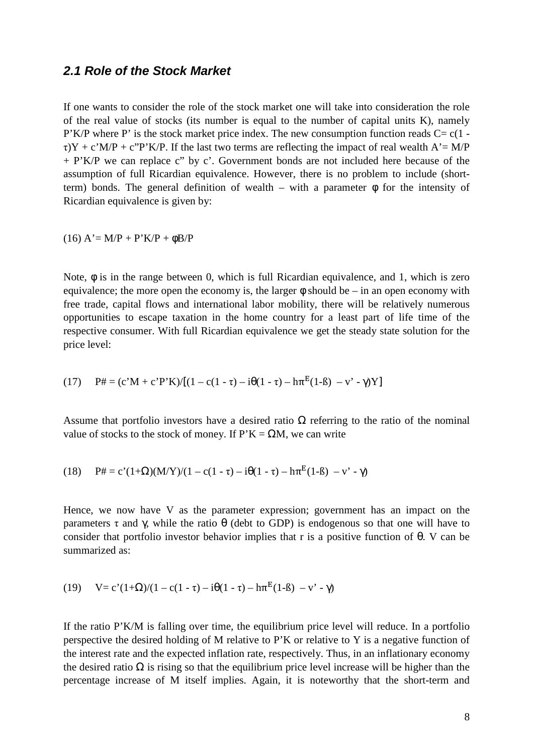### **2.1 Role of the Stock Market**

If one wants to consider the role of the stock market one will take into consideration the role of the real value of stocks (its number is equal to the number of capital units  $K$ ), namely P'K/P where P' is the stock market price index. The new consumption function reads  $C = c(1 \tau$ )Y + c'M/P + c''P'K/P. If the last two terms are reflecting the impact of real wealth A'= M/P + P'K/P we can replace c" by c'. Government bonds are not included here because of the assumption of full Ricardian equivalence. However, there is no problem to include (shortterm) bonds. The general definition of wealth – with a parameter  $\phi$  for the intensity of Ricardian equivalence is given by:

 $(16)$  A'= M/P + P'K/P +  $\phi$ B/P

Note,  $\phi$  is in the range between 0, which is full Ricardian equivalence, and 1, which is zero equivalence; the more open the economy is, the larger  $\phi$  should be – in an open economy with free trade, capital flows and international labor mobility, there will be relatively numerous opportunities to escape taxation in the home country for a least part of life time of the respective consumer. With full Ricardian equivalence we get the steady state solution for the price level:

(17) 
$$
P# = (c'M + c'P'K)/[(1 - c(1 - \tau) - i\theta(1 - \tau) - h\pi^{E}(1-\beta) - v' - \gamma)Y]
$$

Assume that portfolio investors have a desired ratio  $\Omega$  referring to the ratio of the nominal value of stocks to the stock of money. If  $P'K = \Omega M$ , we can write

(18) 
$$
P# = c'(1+\Omega)(M/Y)/(1-c(1-\tau)-i\theta(1-\tau)-h\pi^{E}(1-\beta)-v'-\gamma)
$$

Hence, we now have V as the parameter expression; government has an impact on the parameters τ and γ, while the ratio θ (debt to GDP) is endogenous so that one will have to consider that portfolio investor behavior implies that r is a positive function of θ. V can be summarized as:

(19) 
$$
V = c'(1+\Omega)/(1-c(1-\tau)-i\theta(1-\tau)-h\pi^{E}(1-\beta) - v' - \gamma)
$$

If the ratio P'K/M is falling over time, the equilibrium price level will reduce. In a portfolio perspective the desired holding of M relative to P'K or relative to Y is a negative function of the interest rate and the expected inflation rate, respectively. Thus, in an inflationary economy the desired ratio  $\Omega$  is rising so that the equilibrium price level increase will be higher than the percentage increase of M itself implies. Again, it is noteworthy that the short-term and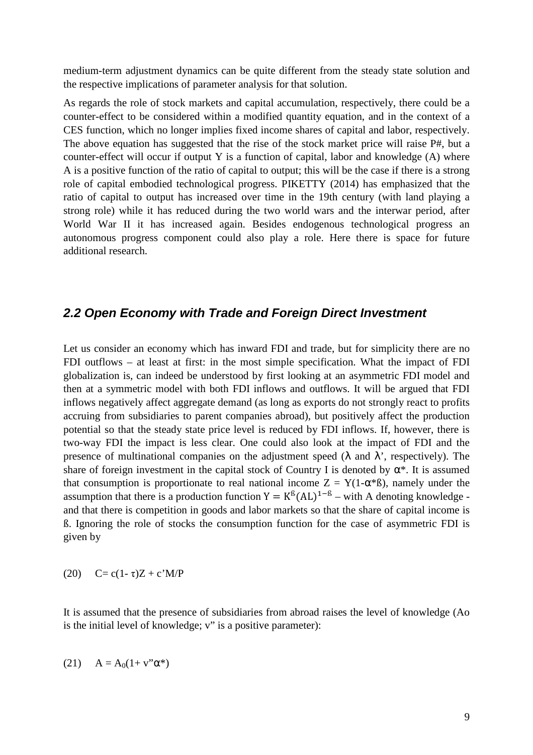medium-term adjustment dynamics can be quite different from the steady state solution and the respective implications of parameter analysis for that solution.

As regards the role of stock markets and capital accumulation, respectively, there could be a counter-effect to be considered within a modified quantity equation, and in the context of a CES function, which no longer implies fixed income shares of capital and labor, respectively. The above equation has suggested that the rise of the stock market price will raise P#, but a counter-effect will occur if output Y is a function of capital, labor and knowledge (A) where A is a positive function of the ratio of capital to output; this will be the case if there is a strong role of capital embodied technological progress. PIKETTY (2014) has emphasized that the ratio of capital to output has increased over time in the 19th century (with land playing a strong role) while it has reduced during the two world wars and the interwar period, after World War II it has increased again. Besides endogenous technological progress an autonomous progress component could also play a role. Here there is space for future additional research.

### **2.2 Open Economy with Trade and Foreign Direct Investment**

Let us consider an economy which has inward FDI and trade, but for simplicity there are no FDI outflows – at least at first: in the most simple specification. What the impact of FDI globalization is, can indeed be understood by first looking at an asymmetric FDI model and then at a symmetric model with both FDI inflows and outflows. It will be argued that FDI inflows negatively affect aggregate demand (as long as exports do not strongly react to profits accruing from subsidiaries to parent companies abroad), but positively affect the production potential so that the steady state price level is reduced by FDI inflows. If, however, there is two-way FDI the impact is less clear. One could also look at the impact of FDI and the presence of multinational companies on the adjustment speed ( $\lambda$  and  $\lambda$ ', respectively). The share of foreign investment in the capital stock of Country I is denoted by  $\alpha^*$ . It is assumed that consumption is proportionate to real national income  $Z = Y(1-\alpha * \beta)$ , namely under the assumption that there is a production function  $Y = K^{16}(AL)^{1-16}$  – with A denoting knowledge and that there is competition in goods and labor markets so that the share of capital income is ß. Ignoring the role of stocks the consumption function for the case of asymmetric FDI is given by

(20)  $C = c(1 - \tau)Z + c^*M/P$ 

It is assumed that the presence of subsidiaries from abroad raises the level of knowledge (Ao is the initial level of knowledge; v" is a positive parameter):

$$
(21) \quad A = A_0(1 + v''\alpha^*)
$$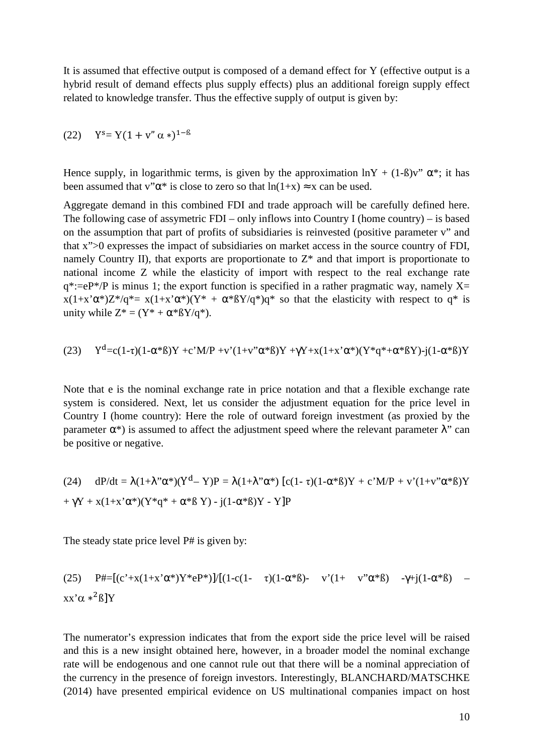It is assumed that effective output is composed of a demand effect for Y (effective output is a hybrid result of demand effects plus supply effects) plus an additional foreign supply effect related to knowledge transfer. Thus the effective supply of output is given by:

(22) 
$$
Y^s = Y(1 + v'' \alpha *)^{1-\beta}
$$

Hence supply, in logarithmic terms, is given by the approximation  $\ln Y + (1-\beta)v'' \alpha^*$ ; it has been assumed that v" $\alpha^*$  is close to zero so that  $\ln(1+x) \approx x$  can be used.

Aggregate demand in this combined FDI and trade approach will be carefully defined here. The following case of assymetric FDI – only inflows into Country I (home country) – is based on the assumption that part of profits of subsidiaries is reinvested (positive parameter v" and that x">0 expresses the impact of subsidiaries on market access in the source country of FDI, namely Country II), that exports are proportionate to  $Z^*$  and that import is proportionate to national income Z while the elasticity of import with respect to the real exchange rate  $q^* := eP^*/P$  is minus 1; the export function is specified in a rather pragmatic way, namely X=  $x(1+x'\alpha^*)Z^*/q^* = x(1+x'\alpha^*)(Y^* + \alpha^*BY/q^*)q^*$  so that the elasticity with respect to  $q^*$  is unity while  $Z^* = (Y^* + \alpha^* \beta Y / q^*)$ .

(23) 
$$
Y^{d} = c(1-\tau)(1-\alpha^{*}B)Y + c^{*}M/P + v^{*}(1+v^{*}\alpha^{*}B)Y + \gamma Y + x(1+x^{*}\alpha^{*})(Y^{*}q^{*}+\alpha^{*}BY) - j(1-\alpha^{*}B)Y
$$

Note that e is the nominal exchange rate in price notation and that a flexible exchange rate system is considered. Next, let us consider the adjustment equation for the price level in Country I (home country): Here the role of outward foreign investment (as proxied by the parameter  $\alpha^*$ ) is assumed to affect the adjustment speed where the relevant parameter  $\lambda$ " can be positive or negative.

(24) 
$$
dP/dt = \lambda(1+\lambda^{\prime\prime}\alpha^{\ast})(Y^d - Y)P = \lambda(1+\lambda^{\prime\prime}\alpha^{\ast}) [c(1-\tau)(1-\alpha^{\ast}\beta)Y + c^{\prime}M/P + v^{\prime}(1+v^{\prime\prime}\alpha^{\ast}\beta)Y + \gamma Y + x(1+x^{\prime}\alpha^{\ast})(Y^{\ast}q^{\ast} + \alpha^{\ast}\beta Y) - j(1-\alpha^{\ast}\beta)Y - Y]P
$$

The steady state price level  $P#$  is given by:

(25) P#=[(c'+x(1+x'α\*)Y\*eP\*)]/[(1-c(1- τ)(1-α\*ß)- v'(1+ v"α\*ß) -γ+j(1-α\*ß) – xx'α ∗ ) ß]Y

The numerator's expression indicates that from the export side the price level will be raised and this is a new insight obtained here, however, in a broader model the nominal exchange rate will be endogenous and one cannot rule out that there will be a nominal appreciation of the currency in the presence of foreign investors. Interestingly, BLANCHARD/MATSCHKE (2014) have presented empirical evidence on US multinational companies impact on host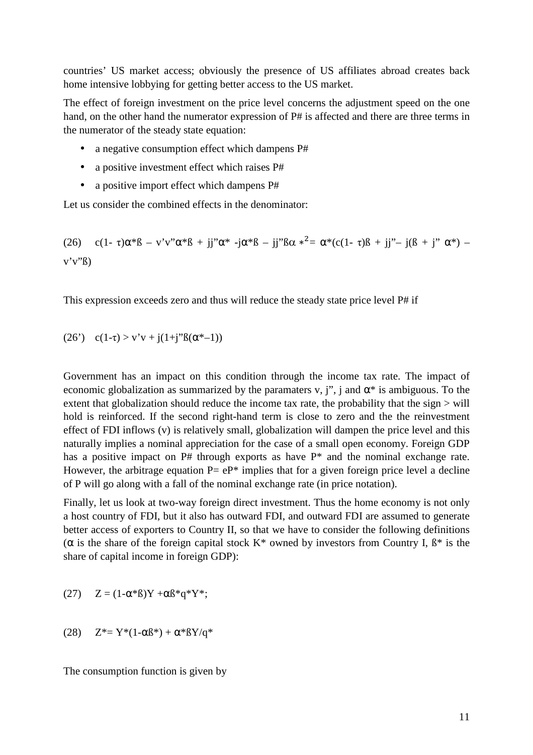countries' US market access; obviously the presence of US affiliates abroad creates back home intensive lobbying for getting better access to the US market.

The effect of foreign investment on the price level concerns the adjustment speed on the one hand, on the other hand the numerator expression of  $P#$  is affected and there are three terms in the numerator of the steady state equation:

- a negative consumption effect which dampens  $P#$
- a positive investment effect which raises P#
- a positive import effect which dampens  $P#$

Let us consider the combined effects in the denominator:

(26) 
$$
c(1 - \tau)\alpha * B - v'v''\alpha * B + jj''\alpha * -j\alpha * B - jj''\alpha *^2 = \alpha * (c(1 - \tau)B + jj'' - j(B + j'' \alpha^*) - v'v''B)
$$

This expression exceeds zero and thus will reduce the steady state price level P# if

(26') 
$$
c(1-\tau) > v'v + j(1+j''\beta(\alpha^*-1))
$$

Government has an impact on this condition through the income tax rate. The impact of economic globalization as summarized by the paramaters v, j", j and  $\alpha^*$  is ambiguous. To the extent that globalization should reduce the income tax rate, the probability that the sign  $>$  will hold is reinforced. If the second right-hand term is close to zero and the the reinvestment effect of FDI inflows (v) is relatively small, globalization will dampen the price level and this naturally implies a nominal appreciation for the case of a small open economy. Foreign GDP has a positive impact on  $P#$  through exports as have  $P^*$  and the nominal exchange rate. However, the arbitrage equation  $P = eP^*$  implies that for a given foreign price level a decline of P will go along with a fall of the nominal exchange rate (in price notation).

Finally, let us look at two-way foreign direct investment. Thus the home economy is not only a host country of FDI, but it also has outward FDI, and outward FDI are assumed to generate better access of exporters to Country II, so that we have to consider the following definitions ( $\alpha$  is the share of the foreign capital stock K\* owned by investors from Country I,  $\beta^*$  is the share of capital income in foreign GDP):

$$
(27) \quad Z = (1-\alpha^*B)Y + \alpha B^*q^*Y^*;
$$

$$
(28) \quad Z^* = Y^*(1-\alpha\beta^*) + \alpha^* \beta Y/q^*
$$

The consumption function is given by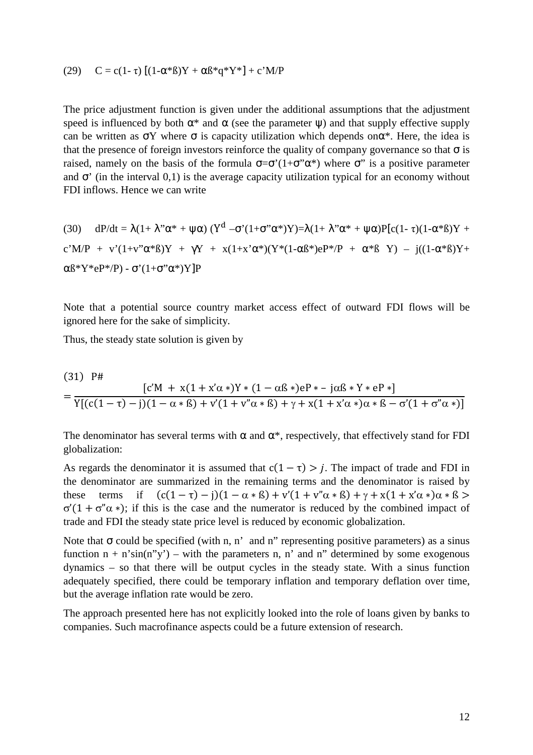#### (29)  $C = c(1 - \tau) [(1 - \alpha * \beta)Y + \alpha \beta * \alpha * Y^*] + c'M/P$

The price adjustment function is given under the additional assumptions that the adjustment speed is influenced by both  $\alpha^*$  and  $\alpha$  (see the parameter w) and that supply effective supply can be written as  $\sigma Y$  where  $\sigma$  is capacity utilization which depends on $\alpha^*$ . Here, the idea is that the presence of foreign investors reinforce the quality of company governance so that  $\sigma$  is raised, namely on the basis of the formula  $\sigma = \sigma'(1+\sigma''\alpha^*)$  where  $\sigma''$  is a positive parameter and  $\sigma'$  (in the interval 0,1) is the average capacity utilization typical for an economy without FDI inflows. Hence we can write

(30) 
$$
dP/dt = \lambda(1 + \lambda''\alpha^* + \psi\alpha) (Y^d - \sigma'(1 + \sigma''\alpha^*)Y) = \lambda(1 + \lambda''\alpha^* + \psi\alpha)P[c(1 - \tau)(1 - \alpha^*B)Y + c'M/P + v'(1 + v''\alpha^*B)Y + \gamma Y + x(1 + x'\alpha^*)(Y^*(1 - \alpha^*)eP^* / P + \alpha^*B Y) - j((1 - \alpha^*B)Y + \alpha^*Y^*eP^* / P) - \sigma'(1 + \sigma''\alpha^*)Y]P
$$

Note that a potential source country market access effect of outward FDI flows will be ignored here for the sake of simplicity.

Thus, the steady state solution is given by

(31) P#   
\n
$$
= \frac{[c'M + x(1 + x'\alpha *)Y * (1 - \alpha\beta *)eP * - j\alpha\beta * Y * eP *]}{Y[(c(1-\tau)-j)(1-\alpha * \beta)+v'(1+v''\alpha * \beta)+\gamma+x(1+x'\alpha *)\alpha * \beta - \sigma'(1+\sigma''\alpha *)]}
$$

The denominator has several terms with  $\alpha$  and  $\alpha^*$ , respectively, that effectively stand for FDI globalization:

As regards the denominator it is assumed that  $c(1 - \tau) > j$ . The impact of trade and FDI in the denominator are summarized in the remaining terms and the denominator is raised by these terms if  $(c(1 - \tau) - j)(1 - \alpha * \beta) + v'(1 + v''\alpha * \beta) + \gamma + x(1 + x'\alpha *)\alpha * \beta >$ σ'(1 + σ"α ∗); if this is the case and the numerator is reduced by the combined impact of trade and FDI the steady state price level is reduced by economic globalization.

Note that  $\sigma$  could be specified (with n, n' and n'' representing positive parameters) as a sinus function  $n + n'sin(n''y')$  – with the parameters n, n' and n'' determined by some exogenous dynamics – so that there will be output cycles in the steady state. With a sinus function adequately specified, there could be temporary inflation and temporary deflation over time, but the average inflation rate would be zero.

The approach presented here has not explicitly looked into the role of loans given by banks to companies. Such macrofinance aspects could be a future extension of research.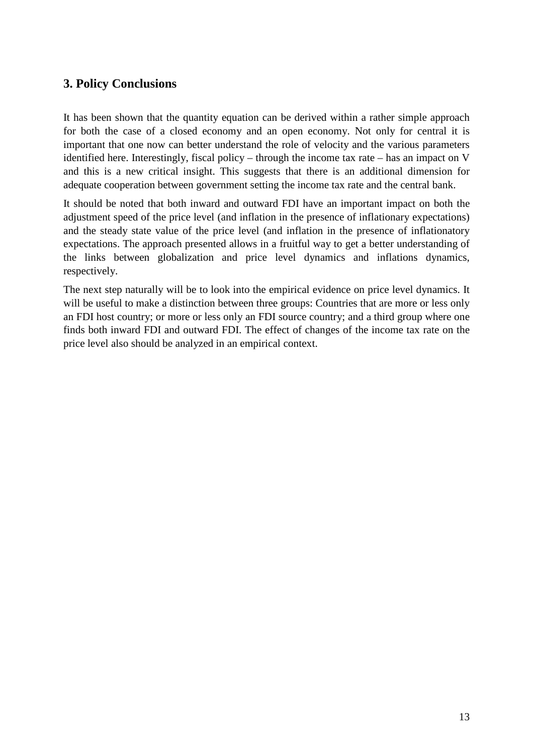### **3. Policy Conclusions**

It has been shown that the quantity equation can be derived within a rather simple approach for both the case of a closed economy and an open economy. Not only for central it is important that one now can better understand the role of velocity and the various parameters identified here. Interestingly, fiscal policy – through the income tax rate – has an impact on V and this is a new critical insight. This suggests that there is an additional dimension for adequate cooperation between government setting the income tax rate and the central bank.

It should be noted that both inward and outward FDI have an important impact on both the adjustment speed of the price level (and inflation in the presence of inflationary expectations) and the steady state value of the price level (and inflation in the presence of inflationatory expectations. The approach presented allows in a fruitful way to get a better understanding of the links between globalization and price level dynamics and inflations dynamics, respectively.

The next step naturally will be to look into the empirical evidence on price level dynamics. It will be useful to make a distinction between three groups: Countries that are more or less only an FDI host country; or more or less only an FDI source country; and a third group where one finds both inward FDI and outward FDI. The effect of changes of the income tax rate on the price level also should be analyzed in an empirical context.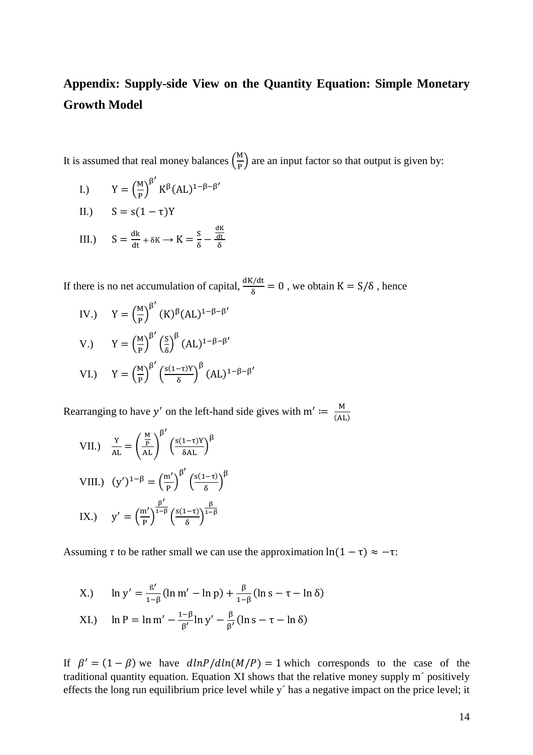# **Appendix: Supply-side View on the Quantity Equation: Simple Monetary Growth Model**

It is assumed that real money balances  $\left(\frac{M}{p}\right)$  $\frac{\sqrt{1}}{P}$  are an input factor so that output is given by:

- I.)  $Y = \left(\frac{M}{P}\right)$  $\beta'$  $K^{\beta}(AL)^{1-\beta-\beta'}$
- II.)  $S = s(1 τ)Y$
- III.)  $S = \frac{dk}{dt} + \delta K \rightarrow K = \frac{S}{\delta}$ <u>dK</u> <u>dt</u> @

If there is no net accumulation of capital,  $\frac{dK}{dS} = 0$ , we obtain  $K = S/\delta$ , hence

IV.) 
$$
Y = \left(\frac{M}{P}\right)^{\beta'} (K)^{\beta} (AL)^{1-\beta-\beta'}
$$
  
\nV.) 
$$
Y = \left(\frac{M}{P}\right)^{\beta'} \left(\frac{S}{\delta}\right)^{\beta} (AL)^{1-\beta-\beta'}
$$
  
\nVI.) 
$$
Y = \left(\frac{M}{P}\right)^{\beta'} \left(\frac{s(1-\tau)Y}{\delta}\right)^{\beta} (AL)^{1-\beta-\beta'}
$$

Rearranging to have y' on the left-hand side gives with  $m' \coloneqq \frac{M}{(4)}$ (AL)

VII.) 
$$
\frac{Y}{AL} = \left(\frac{\frac{M}{P}}{AL}\right)^{\beta'} \left(\frac{s(1-\tau)Y}{\delta AL}\right)^{\beta}
$$
  
VIII.) 
$$
(y')^{1-\beta} = \left(\frac{m'}{P}\right)^{\beta'} \left(\frac{s(1-\tau)}{\delta}\right)^{\beta}
$$
  
IX.) 
$$
y' = \left(\frac{m'}{P}\right)^{\frac{\beta'}{1-\beta}} \left(\frac{s(1-\tau)}{\delta}\right)^{\frac{\beta}{1-\beta}}
$$

Assuming  $\tau$  to be rather small we can use the approximation ln(1 –  $\tau$ ) ≈ – $\tau$ :

X.) ln y' = 
$$
\frac{β'}{1-β}
$$
 (ln m' - ln p) +  $\frac{β}{1-β}$  (ln s - τ - ln δ)  
\nXI.) ln P = ln m' -  $\frac{1-β}{β'}$  ln y' -  $\frac{β}{β'}$  (ln s - τ - ln δ)

If  $\beta' = (1 - \beta)$  we have  $\frac{d\ln P}{d\ln(M/P)} = 1$  which corresponds to the case of the traditional quantity equation. Equation XI shows that the relative money supply m´ positively effects the long run equilibrium price level while y´ has a negative impact on the price level; it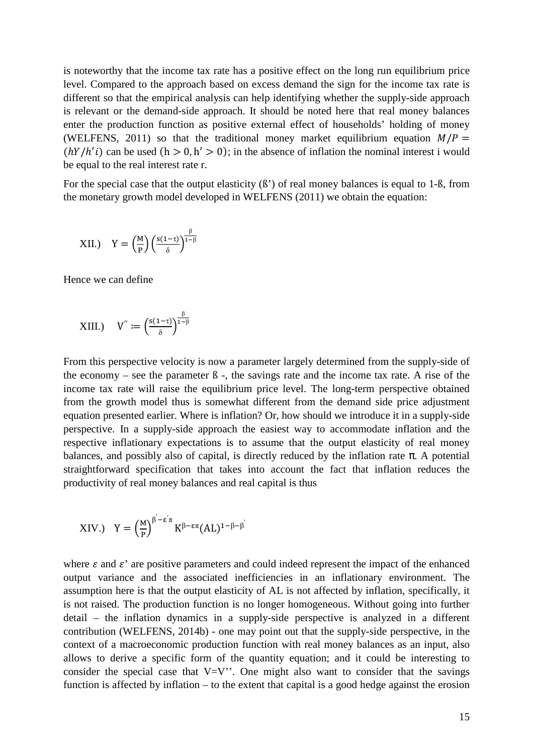is noteworthy that the income tax rate has a positive effect on the long run equilibrium price level. Compared to the approach based on excess demand the sign for the income tax rate is different so that the empirical analysis can help identifying whether the supply-side approach is relevant or the demand-side approach. It should be noted here that real money balances enter the production function as positive external effect of households' holding of money (WELFENS, 2011) so that the traditional money market equilibrium equation  $M/P =$  $(hY/h'i)$  can be used  $(h > 0, h' > 0)$ ; in the absence of inflation the nominal interest i would be equal to the real interest rate r.

For the special case that the output elasticity (ß') of real money balances is equal to 1-ß, from the monetary growth model developed in WELFENS (2011) we obtain the equation:

XII.) 
$$
Y = \left(\frac{M}{P}\right) \left(\frac{s(1-\tau)}{\delta}\right)^{\frac{\beta}{1-\beta}}
$$

Hence we can define

$$
XIII.) \quad V^{''} := \left(\frac{s(1-\tau)}{\delta}\right)^{\frac{\beta}{1-\beta}}
$$

From this perspective velocity is now a parameter largely determined from the supply-side of the economy – see the parameter  $\beta$  -, the savings rate and the income tax rate. A rise of the income tax rate will raise the equilibrium price level. The long-term perspective obtained from the growth model thus is somewhat different from the demand side price adjustment equation presented earlier. Where is inflation? Or, how should we introduce it in a supply-side perspective. In a supply-side approach the easiest way to accommodate inflation and the respective inflationary expectations is to assume that the output elasticity of real money balances, and possibly also of capital, is directly reduced by the inflation rate  $\pi$ . A potential straightforward specification that takes into account the fact that inflation reduces the productivity of real money balances and real capital is thus

XIV.) 
$$
Y = \left(\frac{M}{P}\right)^{\beta - \epsilon' \pi} K^{\beta - \epsilon \pi} (AL)^{1 - \beta - \beta'}
$$

where  $\varepsilon$  and  $\varepsilon'$  are positive parameters and could indeed represent the impact of the enhanced output variance and the associated inefficiencies in an inflationary environment. The assumption here is that the output elasticity of AL is not affected by inflation, specifically, it is not raised. The production function is no longer homogeneous. Without going into further detail – the inflation dynamics in a supply-side perspective is analyzed in a different contribution (WELFENS, 2014b) - one may point out that the supply-side perspective, in the context of a macroeconomic production function with real money balances as an input, also allows to derive a specific form of the quantity equation; and it could be interesting to consider the special case that  $V=V'$ . One might also want to consider that the savings function is affected by inflation – to the extent that capital is a good hedge against the erosion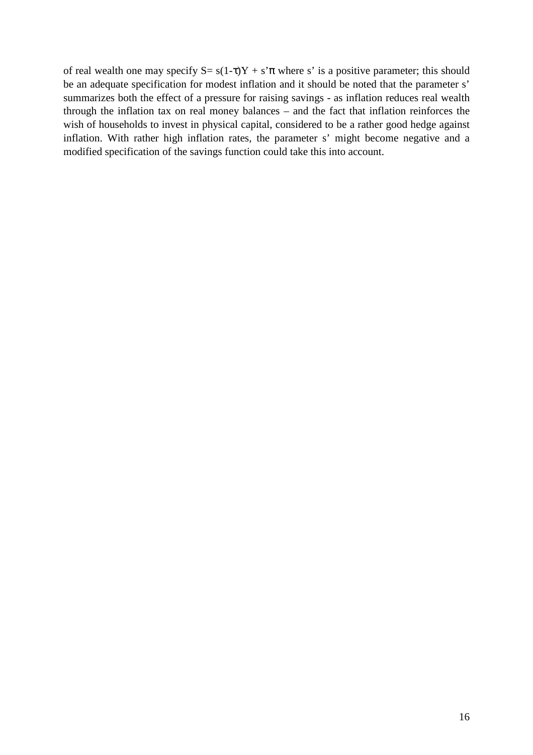of real wealth one may specify  $S = s(1-\tau)Y + s'\pi$  where s' is a positive parameter; this should be an adequate specification for modest inflation and it should be noted that the parameter s' summarizes both the effect of a pressure for raising savings - as inflation reduces real wealth through the inflation tax on real money balances – and the fact that inflation reinforces the wish of households to invest in physical capital, considered to be a rather good hedge against inflation. With rather high inflation rates, the parameter s' might become negative and a modified specification of the savings function could take this into account.